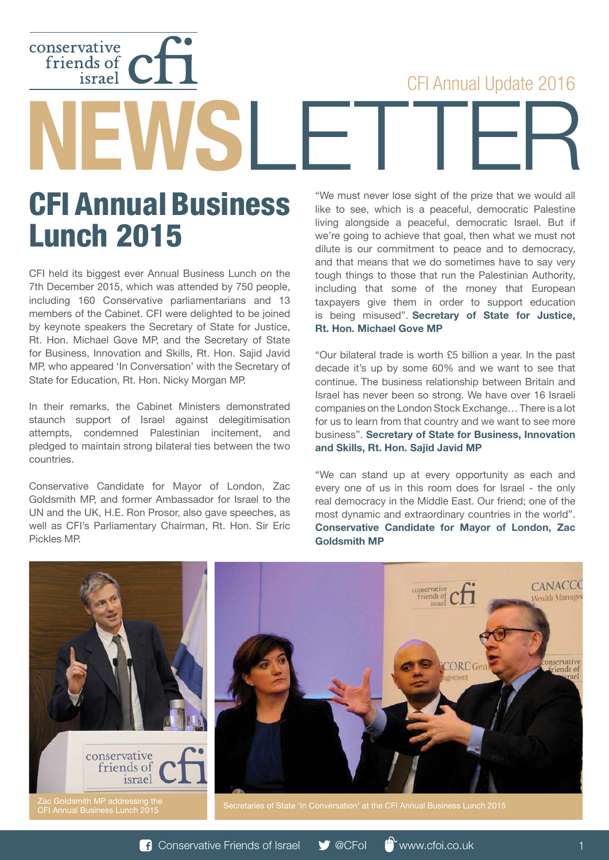## CFI Annual Update 2016

CFI Annual Business Lunch 2015

conservative<br>friends of<br>israel

**EWSLET** 

CFI held its biggest ever Annual Business Lunch on the 7th December 2015, which was attended by 750 people, including 160 Conservative parliamentarians and 13 members of the Cabinet. CFI were delighted to be joined by keynote speakers the Secretary of State for Justice, Rt. Hon. Michael Gove MP, and the Secretary of State for Business, Innovation and Skills, Rt. Hon. Sajid Javid MP, who appeared 'In Conversation' with the Secretary of State for Education, Rt. Hon. Nicky Morgan MP.

In their remarks, the Cabinet Ministers demonstrated staunch support of Israel against delegitimisation attempts, condemned Palestinian incitement, and pledged to maintain strong bilateral ties between the two countries.

Conservative Candidate for Mayor of London, Zac Goldsmith MP, and former Ambassador for Israel to the UN and the UK, H.E. Ron Prosor, also gave speeches, as well as CFI's Parliamentary Chairman, Rt. Hon. Sir Eric Pickles MP.

"We must never lose sight of the prize that we would all like to see, which is a peaceful, democratic Palestine living alongside a peaceful, democratic Israel. But if we're going to achieve that goal, then what we must not dilute is our commitment to peace and to democracy, and that means that we do sometimes have to say very tough things to those that run the Palestinian Authority, including that some of the money that European taxpayers give them in order to support education is being misused". **Secretary of State for Justice, Rt. Hon. Michael Gove MP**

"Our bilateral trade is worth £5 billion a year. In the past decade it's up by some 60% and we want to see that continue. The business relationship between Britain and Israel has never been so strong. We have over 16 Israeli companies on the London Stock Exchange… There is a lot for us to learn from that country and we want to see more business". **Secretary of State for Business, Innovation and Skills, Rt. Hon. Sajid Javid MP**

"We can stand up at every opportunity as each and every one of us in this room does for Israel - the only real democracy in the Middle East. Our friend; one of the most dynamic and extraordinary countries in the world". **Conservative Candidate for Mayor of London, Zac Goldsmith MP**

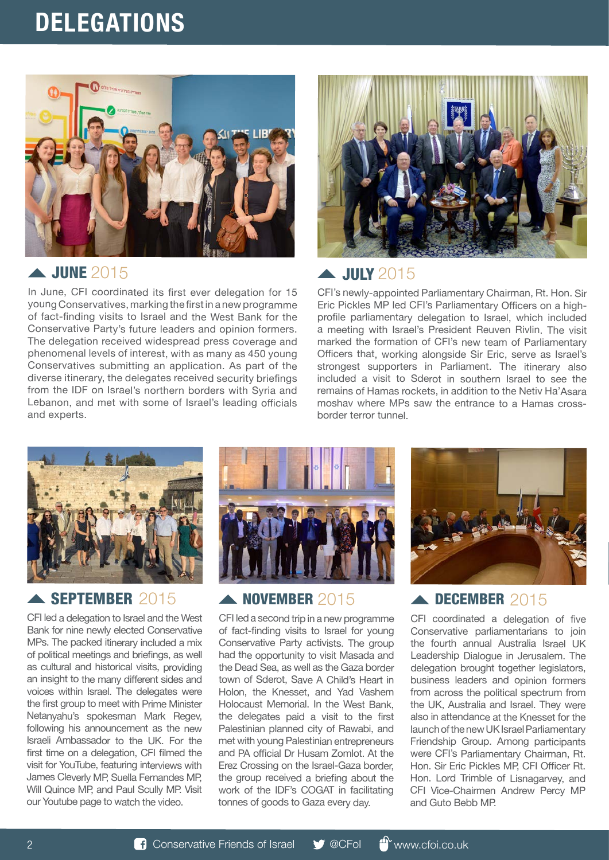## **DELEGATIONS**



## June 2015

In June, CFI coordinated its first ever delegation for 15 young Conservatives, marking the first in a new programme of fact-finding visits to Israel and the West Bank for the Conservative Party's future leaders and opinion formers. The delegation received widespread press coverage and phenomenal levels of interest, with as many as 450 young Conservatives submitting an application. As part of the diverse itinerary, the delegates received security briefings from the IDF on Israel's northern borders with Syria and Lebanon, and met with some of Israel's leading officials and experts.



## July 2015

CFI's newly-appointed Parliamentary Chairman, Rt. Hon. Sir Eric Pickles MP led CFI's Parliamentary Officers on a highprofile parliamentary delegation to Israel, which included a meeting with Israel's President Reuven Rivlin. The visit marked the formation of CFI's new team of Parliamentary Officers that, working alongside Sir Eric, serve as Israel's strongest supporters in Parliament. The itinerary also included a visit to Sderot in southern Israel to see the remains of Hamas rockets, in addition to the Netiv Ha'Asara moshav where MPs saw the entrance to a Hamas crossborder terror tunnel.



### September 2015

CFI led a delegation to Israel and the West Bank for nine newly elected Conservative MPs. The packed itinerary included a mix of political meetings and briefings, as well as cultural and historical visits, providing an insight to the many different sides and voices within Israel. The delegates were the first group to meet with Prime Minister Netanyahu's spokesman Mark Regev, following his announcement as the new Israeli Ambassador to the UK. For the first time on a delegation, CFI filmed the visit for YouTube, featuring interviews with James Cleverly MP, Suella Fernandes MP, Will Quince MP, and Paul Scully MP. Visit our Youtube page to watch the video.



## A NOVEMBER 2015

CFI led a second trip in a new programme of fact-finding visits to Israel for young Conservative Party activists. The group had the opportunity to visit Masada and the Dead Sea, as well as the Gaza border town of Sderot, Save A Child's Heart in Holon, the Knesset, and Yad Vashem Holocaust Memorial. In the West Bank, the delegates paid a visit to the first Palestinian planned city of Rawabi, and met with young Palestinian entrepreneurs and PA official Dr Husam Zomlot. At the Erez Crossing on the Israel-Gaza border, the group received a briefing about the work of the IDF's COGAT in facilitating tonnes of goods to Gaza every day.



### 2015 **ADECEMBER** 2015

CFI coordinated a delegation of five Conservative parliamentarians to join the fourth annual Australia Israel UK Leadership Dialogue in Jerusalem. The delegation brought together legislators, business leaders and opinion formers from across the political spectrum from the UK, Australia and Israel. They were also in attendance at the Knesset for the launch of the new UK Israel Parliamentary Friendship Group. Among participants were CFI's Parliamentary Chairman, Rt. Hon. Sir Eric Pickles MP, CFI Officer Rt. Hon. Lord Trimble of Lisnagarvey, and CFI Vice-Chairmen Andrew Percy MP and Guto Bebb MP.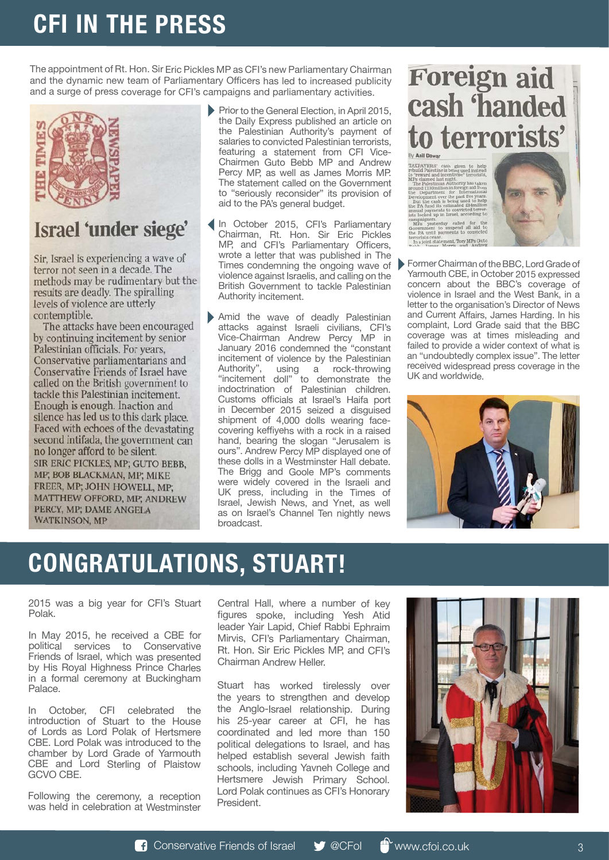# **CFI IN THE PRESS**

The appointment of Rt. Hon. Sir Eric Pickles MP as CFI's new Parliamentary Chairman and the dynamic new team of Parliamentary Officers has led to increased publicity and a surge of press coverage for CFI's campaigns and parliamentary activities.



## Israel 'under siege'

Sir, Israel is experiencing a wave of terror not seen in a decade. The methods may be rudimentary but the results are deadly. The spiralling levels of violence are utterly contemptible.

The attacks have been encouraged by continuing incitement by senior Palestinian officials. For years, Conservative parliamentarians and Conservative Friends of Israel have called on the British government to tackle this Palestinian incitement. Enough is enough. Inaction and silence has led us to this dark place. Faced with echoes of the devastating second intifada, the government can no longer afford to be silent. SIR ERIC PICKLES, MP; GUTO BEBB, MP; BOB BLACKMAN, MP; MIKE FREER, MP; JOHN HOWELL, MP; MATTHEW OFFORD, MP; ANDREW PERCY, MP; DAME ANGELA **WATKINSON, MP** 

- Prior to the General Election, in April 2015, the Daily Express published an article on the Palestinian Authority's payment of salaries to convicted Palestinian terrorists, featuring a statement from CFI Vice-Chairmen Guto Bebb MP and Andrew Percy MP, as well as James Morris MP. The statement called on the Government to "seriously reconsider" its provision of aid to the PA's general budget.
- Times condemning the ongoing wave of **Former Chairman of the BBC, Lord Grade of** In October 2015, CFI's Parliamentary Chairman, Rt. Hon. Sir Eric Pickles MP, and CFI's Parliamentary Officers, wrote a letter that was published in The violence against Israelis, and calling on the British Government to tackle Palestinian Authority incitement.
- Amid the wave of deadly Palestinian attacks against Israeli civilians, CFI's Vice-Chairman Andrew Percy MP in January 2016 condemned the "constant incitement of violence by the Palestinian Authority", using a rock-throwing "incitement doll" to demonstrate the indoctrination of Palestinian children. Customs officials at Israel's Haifa port in December 2015 seized a disguised shipment of 4,000 dolls wearing facecovering keffiyehs with a rock in a raised hand, bearing the slogan "Jerusalem is ours". Andrew Percy MP displayed one of these dolls in a Westminster Hall debate. The Brigg and Goole MP's comments were widely covered in the Israeli and UK press, including in the Times of Israel, Jewish News, and Ynet, as well as on Israel's Channel Ten nightly news broadcast.

# **Foreign aid<br>cash 'handed** to terrorists'

TAXPAYERS' cash given to help<br>rebuild Palestine is being used instead<br>of reward and incentivise" terrorists,<br> $\text{The Paularials theorem}$ <br> $\text{MPs claimed last hight}$ .<br>The Palestinian Authority has taken<br>to a 130 million in foreign aid from<br>Davelopment epartment for International<br>pment over the past five years<br>the cash is being used to hel<br>fund its estimated £84millio



Yarmouth CBE, in October 2015 expressed concern about the BBC's coverage of violence in Israel and the West Bank, in a letter to the organisation's Director of News and Current Affairs, James Harding. In his complaint, Lord Grade said that the BBC coverage was at times misleading and failed to provide a wider context of what is an "undoubtedly complex issue". The letter received widespread press coverage in the UK and worldwide.



# **Congratulations, Stuart!**

2015 was a big year for CFI's Stuart Polak.

In May 2015, he received a CBE for political services to Conservative Friends of Israel, which was presented by His Royal Highness Prince Charles in a formal ceremony at Buckingham Palace.

In October, CFI celebrated the introduction of Stuart to the House of Lords as Lord Polak of Hertsmere CBE. Lord Polak was introduced to the chamber by Lord Grade of Yarmouth CBE and Lord Sterling of Plaistow GCVO CBE.

Following the ceremony, a reception was held in celebration at Westminster Central Hall, where a number of key figures spoke, including Yesh Atid leader Yair Lapid, Chief Rabbi Ephraim Mirvis, CFI's Parliamentary Chairman, Rt. Hon. Sir Eric Pickles MP, and CFI's Chairman Andrew Heller.

Stuart has worked tirelessly over the years to strengthen and develop the Anglo-Israel relationship. During his 25-year career at CFI, he has coordinated and led more than 150 political delegations to Israel, and has helped establish several Jewish faith schools, including Yavneh College and Hertsmere Jewish Primary School. Lord Polak continues as CFI's Honorary President.